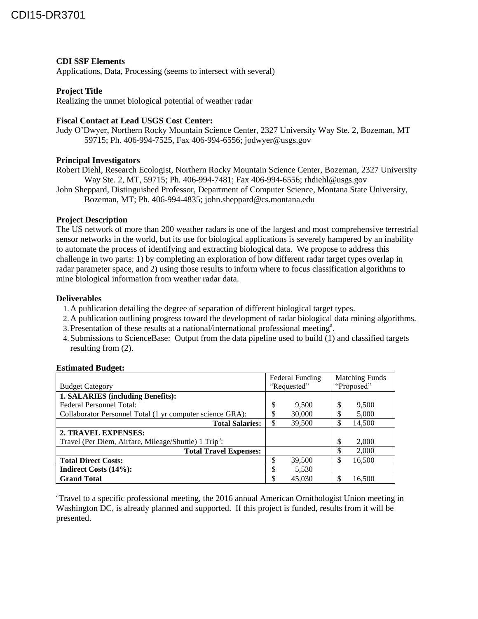# **CDI SSF Elements**

Applications, Data, Processing (seems to intersect with several)

# **Project Title**

Realizing the unmet biological potential of weather radar

# **Fiscal Contact at Lead USGS Cost Center:**

Judy O'Dwyer, Northern Rocky Mountain Science Center, 2327 University Way Ste. 2, Bozeman, MT 59715; Ph. 406-994-7525, Fax 406-994-6556; [jodwyer@usgs.gov](mailto:jodwyer@usgs.gov)

### **Principal Investigators**

Robert Diehl, Research Ecologist, Northern Rocky Mountain Science Center, Bozeman, 2327 University Way Ste. 2, MT, 59715; Ph. 406-994-7481; Fax 406-994-6556; rhdiehl@usgs.gov

John Sheppard, Distinguished Professor, Department of Computer Science, Montana State University, Bozeman, MT; Ph. 406-994-4835; john.sheppard@cs.montana.edu

## **Project Description**

The US network of more than 200 weather radars is one of the largest and most comprehensive terrestrial sensor networks in the world, but its use for biological applications is severely hampered by an inability to automate the process of identifying and extracting biological data. We propose to address this challenge in two parts: 1) by completing an exploration of how different radar target types overlap in radar parameter space, and 2) using those results to inform where to focus classification algorithms to mine biological information from weather radar data.

### **Deliverables**

- 1.A publication detailing the degree of separation of different biological target types.
- 2.A publication outlining progress toward the development of radar biological data mining algorithms.
- 3. Presentation of these results at a national/international professional meeting<sup>a</sup>.
- 4.Submissions to ScienceBase: Output from the data pipeline used to build (1) and classified targets resulting from (2).

#### **Estimated Budget:**

|                                                                   | <b>Federal Funding</b> |        | <b>Matching Funds</b> |        |
|-------------------------------------------------------------------|------------------------|--------|-----------------------|--------|
| <b>Budget Category</b>                                            | "Requested"            |        | "Proposed"            |        |
| <b>1. SALARIES (including Benefits):</b>                          |                        |        |                       |        |
| <b>Federal Personnel Total:</b>                                   | \$                     | 9,500  | \$                    | 9,500  |
| Collaborator Personnel Total (1 yr computer science GRA):         | \$                     | 30,000 | J                     | 5,000  |
| <b>Total Salaries:</b>                                            | \$                     | 39,500 | \$                    | 14,500 |
| 2. TRAVEL EXPENSES:                                               |                        |        |                       |        |
| Travel (Per Diem, Airfare, Mileage/Shuttle) 1 Trip <sup>a</sup> : |                        |        | \$                    | 2,000  |
| <b>Total Travel Expenses:</b>                                     |                        |        | \$                    | 2,000  |
| <b>Total Direct Costs:</b>                                        | \$                     | 39,500 | \$                    | 16,500 |
| Indirect Costs (14%):                                             | \$                     | 5,530  |                       |        |
| <b>Grand Total</b>                                                | \$                     | 45,030 | S                     | 16.500 |

<sup>a</sup>Travel to a specific professional meeting, the 2016 annual American Ornithologist Union meeting in Washington DC, is already planned and supported. If this project is funded, results from it will be presented.